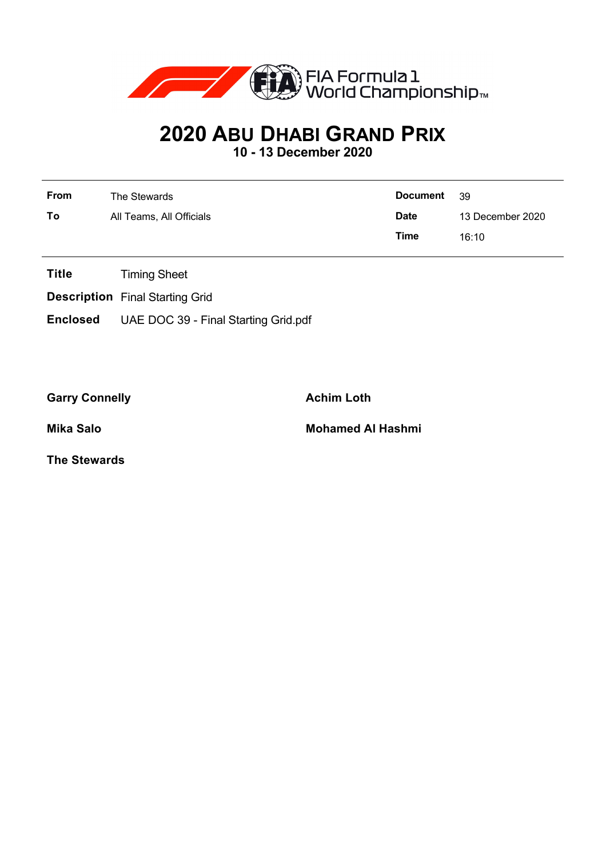

# **2020 ABU DHABI GRAND PRIX**

**10 - 13 December 2020**

| <b>From</b> | The Stewards             | <b>Document</b> | - 39             |  |
|-------------|--------------------------|-----------------|------------------|--|
| To          | All Teams, All Officials | <b>Date</b>     | 13 December 2020 |  |
|             |                          | Time            | 16:10            |  |

- **Title** Timing Sheet
- **Description** Final Starting Grid
- **Enclosed** UAE DOC 39 Final Starting Grid.pdf

Garry Connelly **Achim Loth** 

**Mika Salo Mohamed Al Hashmi**

**The Stewards**